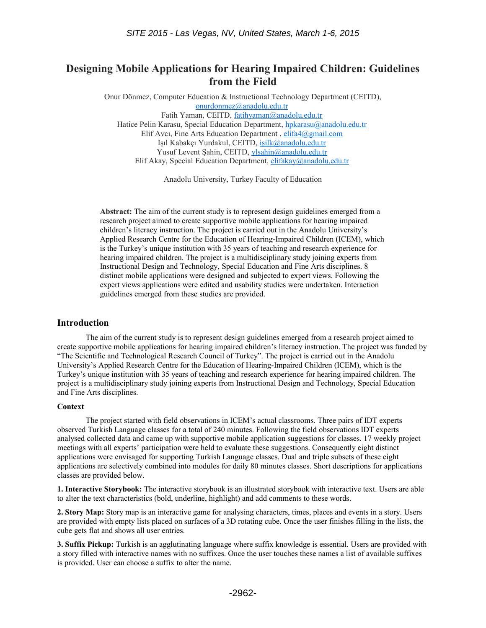# **Designing Mobile Applications for Hearing Impaired Children: Guidelines from the Field**

Onur Dönmez, Computer Education & Instructional Technology Department (CEITD), [onurdonmez@anadolu.edu.tr](mailto:onurdonmez@anadolu.edu.tr) Fatih Yaman, CEITD, [fatihyaman@anadolu.edu.tr](mailto:fatihyaman@anadolu.edu.tr) Hatice Pelin Karasu, Special Education Department, [hpkarasu@anadolu.edu.tr](mailto:hpkarasu@anadolu.edu.tr) Elif Avcı, Fine Arts Education Department , [elifa4@gmail.com](mailto:elifa4@gmail.com) Işıl Kabakçı Yurdakul, CEITD, [isilk@anadolu.edu.tr](mailto:isilk@anadolu.edu.tr) Yusuf Levent Sahin, CEITD, [ylsahin@anadolu.edu.tr](mailto:ylsahin@anadolu.edu.tr)

Elif Akay, Special Education Department, [elifakay@anadolu.edu.tr](mailto:elifakay@anadolu.edu.tr)

Anadolu University, Turkey Faculty of Education

**Abstract:** The aim of the current study is to represent design guidelines emerged from a research project aimed to create supportive mobile applications for hearing impaired children's literacy instruction. The project is carried out in the Anadolu University's Applied Research Centre for the Education of Hearing-Impaired Children (ICEM), which is the Turkey's unique institution with 35 years of teaching and research experience for hearing impaired children. The project is a multidisciplinary study joining experts from Instructional Design and Technology, Special Education and Fine Arts disciplines. 8 distinct mobile applications were designed and subjected to expert views. Following the expert views applications were edited and usability studies were undertaken. Interaction guidelines emerged from these studies are provided.

#### **Introduction**

The aim of the current study is to represent design guidelines emerged from a research project aimed to create supportive mobile applications for hearing impaired children's literacy instruction. The project was funded by "The Scientific and Technological Research Council of Turkey". The project is carried out in the Anadolu University's Applied Research Centre for the Education of Hearing-Impaired Children (ICEM), which is the Turkey's unique institution with 35 years of teaching and research experience for hearing impaired children. The project is a multidisciplinary study joining experts from Instructional Design and Technology, Special Education and Fine Arts disciplines.

#### **Context**

The project started with field observations in ICEM's actual classrooms. Three pairs of IDT experts observed Turkish Language classes for a total of 240 minutes. Following the field observations IDT experts analysed collected data and came up with supportive mobile application suggestions for classes. 17 weekly project meetings with all experts' participation were held to evaluate these suggestions. Consequently eight distinct applications were envisaged for supporting Turkish Language classes. Dual and triple subsets of these eight applications are selectively combined into modules for daily 80 minutes classes. Short descriptions for applications classes are provided below.

**1. Interactive Storybook:** The interactive storybook is an illustrated storybook with interactive text. Users are able to alter the text characteristics (bold, underline, highlight) and add comments to these words.

**2. Story Map:** Story map is an interactive game for analysing characters, times, places and events in a story. Users are provided with empty lists placed on surfaces of a 3D rotating cube. Once the user finishes filling in the lists, the cube gets flat and shows all user entries.

**3. Suffix Pickup:** Turkish is an agglutinating language where suffix knowledge is essential. Users are provided with a story filled with interactive names with no suffixes. Once the user touches these names a list of available suffixes is provided. User can choose a suffix to alter the name.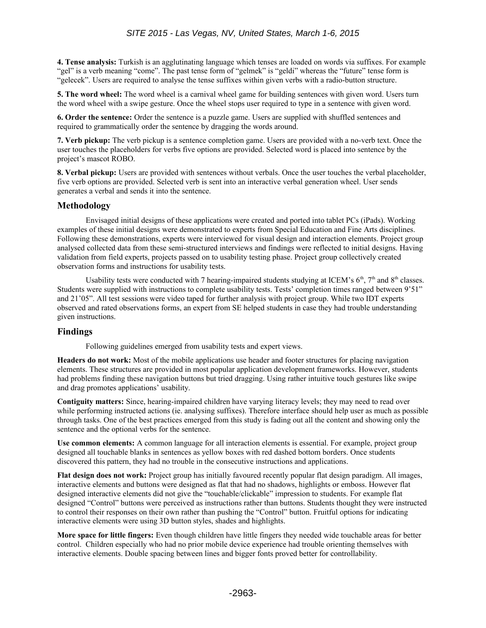**4. Tense analysis:** Turkish is an agglutinating language which tenses are loaded on words via suffixes. For example "gel" is a verb meaning "come". The past tense form of "gelmek" is "geldi" whereas the "future" tense form is "gelecek". Users are required to analyse the tense suffixes within given verbs with a radio-button structure.

**5. The word wheel:** The word wheel is a carnival wheel game for building sentences with given word. Users turn the word wheel with a swipe gesture. Once the wheel stops user required to type in a sentence with given word.

**6. Order the sentence:** Order the sentence is a puzzle game. Users are supplied with shuffled sentences and required to grammatically order the sentence by dragging the words around.

**7. Verb pickup:** The verb pickup is a sentence completion game. Users are provided with a no-verb text. Once the user touches the placeholders for verbs five options are provided. Selected word is placed into sentence by the project's mascot ROBO.

**8. Verbal pickup:** Users are provided with sentences without verbals. Once the user touches the verbal placeholder, five verb options are provided. Selected verb is sent into an interactive verbal generation wheel. User sends generates a verbal and sends it into the sentence.

## **Methodology**

Envisaged initial designs of these applications were created and ported into tablet PCs (iPads). Working examples of these initial designs were demonstrated to experts from Special Education and Fine Arts disciplines. Following these demonstrations, experts were interviewed for visual design and interaction elements. Project group analysed collected data from these semi-structured interviews and findings were reflected to initial designs. Having validation from field experts, projects passed on to usability testing phase. Project group collectively created observation forms and instructions for usability tests.

Usability tests were conducted with 7 hearing-impaired students studying at ICEM's  $6<sup>th</sup>$ , 7<sup>th</sup> and  $8<sup>th</sup>$  classes. Students were supplied with instructions to complete usability tests. Tests' completion times ranged between 9'51" and 21'05". All test sessions were video taped for further analysis with project group. While two IDT experts observed and rated observations forms, an expert from SE helped students in case they had trouble understanding given instructions.

## **Findings**

Following guidelines emerged from usability tests and expert views.

**Headers do not work:** Most of the mobile applications use header and footer structures for placing navigation elements. These structures are provided in most popular application development frameworks. However, students had problems finding these navigation buttons but tried dragging. Using rather intuitive touch gestures like swipe and drag promotes applications' usability.

**Contiguity matters:** Since, hearing-impaired children have varying literacy levels; they may need to read over while performing instructed actions (ie. analysing suffixes). Therefore interface should help user as much as possible through tasks. One of the best practices emerged from this study is fading out all the content and showing only the sentence and the optional verbs for the sentence.

**Use common elements:** A common language for all interaction elements is essential. For example, project group designed all touchable blanks in sentences as yellow boxes with red dashed bottom borders. Once students discovered this pattern, they had no trouble in the consecutive instructions and applications.

**Flat design does not work:** Project group has initially favoured recently popular flat design paradigm. All images, interactive elements and buttons were designed as flat that had no shadows, highlights or emboss. However flat designed interactive elements did not give the "touchable/clickable" impression to students. For example flat designed "Control" buttons were perceived as instructions rather than buttons. Students thought they were instructed to control their responses on their own rather than pushing the "Control" button. Fruitful options for indicating interactive elements were using 3D button styles, shades and highlights.

**More space for little fingers:** Even though children have little fingers they needed wide touchable areas for better control. Children especially who had no prior mobile device experience had trouble orienting themselves with interactive elements. Double spacing between lines and bigger fonts proved better for controllability.